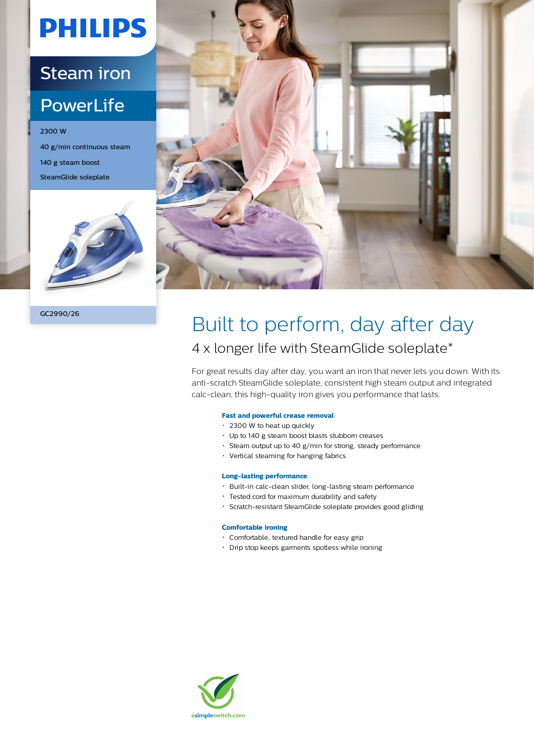# **PHILIPS**

### Steam iron

### **PowerLife**

2300 W 40 g/min continuous steam 140 g steam boost SteamGlide soleplate







## Built to perform, day after day 4 x longer life with SteamGlide soleplate\*

For great results day after day, you want an iron that never lets you down. With its anti-scratch SteamGlide soleplate, consistent high steam output and integrated calc-clean, this high-quality iron gives you performance that lasts.

#### **Fast and powerful crease removal**

- 2300 W to heat up quickly
- Up to 140 g steam boost blasts stubborn creases
- Steam output up to 40 g/min for strong, steady performance
- Vertical steaming for hanging fabrics

#### **Long-lasting performance**

- Built-in calc-clean slider, long-lasting steam performance
- Tested cord for maximum durability and safety
- Scratch-resistant SteamGlide soleplate provides good gliding

#### **Comfortable ironing**

- Comfortable, textured handle for easy grip
- Drip stop keeps garments spotless while ironing

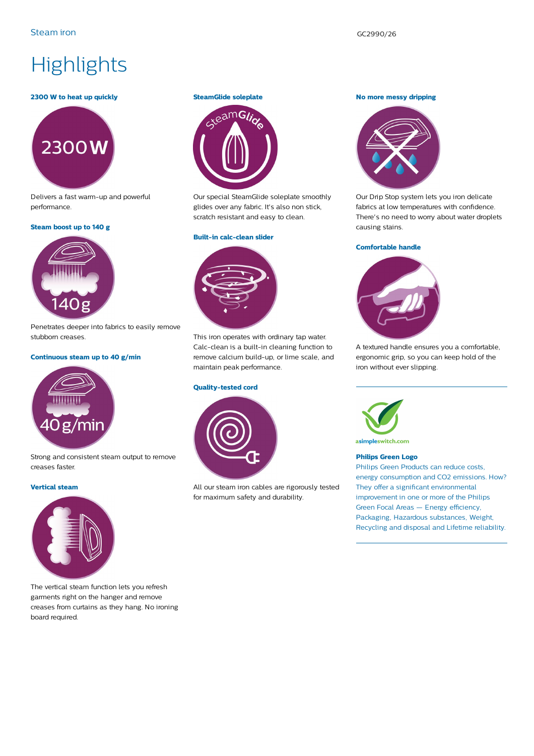## **Highlights**

#### **2300 W to heat up quickly**



Delivers a fast warm-up and powerful performance.

#### **Steam boost up to 140 g**



Penetrates deeper into fabrics to easily remove stubborn creases.

#### **Continuous steam up to 40 g/min**



Strong and consistent steam output to remove creases faster.

#### **Vertical steam**



The vertical steam function lets you refresh garments right on the hanger and remove creases from curtains as they hang. No ironing board required.

#### **SteamGlide soleplate**



Our special SteamGlide soleplate smoothly glides over any fabric. It's also non stick, scratch resistant and easy to clean.

#### **Built-in calc-clean slider**



This iron operates with ordinary tap water. Calc-clean is a built-in cleaning function to remove calcium build-up, or lime scale, and maintain peak performance.

#### **Quality-tested cord**



All our steam iron cables are rigorously tested for maximum safety and durability.

#### **No more messy dripping**



Our Drip Stop system lets you iron delicate fabrics at low temperatures with confidence. There's no need to worry about water droplets causing stains.

#### **Comfortable handle**



A textured handle ensures you a comfortable, ergonomic grip, so you can keep hold of the iron without ever slipping.



asimpleswitch.com

#### **Philips Green Logo**

Philips Green Products can reduce costs, energy consumption and CO2 emissions. How? They offer a significant environmental improvement in one or more of the Philips Green Focal Areas — Energy efficiency, Packaging, Hazardous substances, Weight, Recycling and disposal and Lifetime reliability.